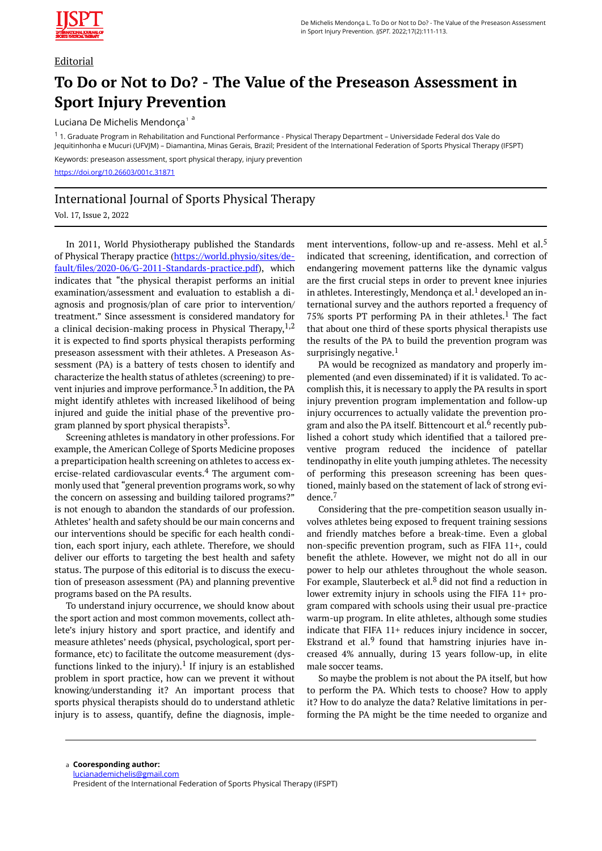

## **Editorial**

## **To Do or Not to Do? - The Value of the Preseason Assessment in Sport Injury Prevention**

Luciana De Michelis Mendonça<sup>1a</sup>

<sup>1</sup> 1. Graduate Program in Rehabilitation and Functional Performance - Physical Therapy Department – Universidade Federal dos Vale do Jequitinhonha e Mucuri (UFVJM) – Diamantina, Minas Gerais, Brazil; President of the International Federation of Sports Physical Therapy (IFSPT) Keywords: preseason assessment, sport physical therapy, injury prevention <https://doi.org/10.26603/001c.31871>

## International Journal of Sports Physical Therapy

Vol. 17, Issue 2, 2022

In 2011, World Physiotherapy published the Standards of Physical Therapy practice [\(https://world.physio/sites/de](https://world.physio/sites/default/files/2020-06/G-2011-Standards-practice.pdf)[fault/files/2020-06/G-2011-Standards-practice.pdf\)](https://world.physio/sites/default/files/2020-06/G-2011-Standards-practice.pdf), which indicates that "the physical therapist performs an initial examination/assessment and evaluation to establish a diagnosis and prognosis/plan of care prior to intervention/ treatment." Since assessment is considered mandatory for a clinical decision-making process in Physical Therapy,  $1,2$ it is expected to find sports physical therapists performing preseason assessment with their athletes. A Preseason Assessment (PA) is a battery of tests chosen to identify and characterize the health status of athletes (screening) to prevent injuries and improve performance.<sup>3</sup> In addition, the PA might identify athletes with increased likelihood of being injured and guide the initial phase of the preventive program planned by sport physical therapists<sup>3</sup>.

Screening athletes is mandatory in other professions. For example, the American College of Sports Medicine proposes a preparticipation health screening on athletes to access exercise-related cardiovascular events.<sup>4</sup> The argument commonly used that "general prevention programs work, so why the concern on assessing and building tailored programs?" is not enough to abandon the standards of our profession. Athletes' health and safety should be our main concerns and our interventions should be specific for each health condition, each sport injury, each athlete. Therefore, we should deliver our efforts to targeting the best health and safety status. The purpose of this editorial is to discuss the execution of preseason assessment (PA) and planning preventive programs based on the PA results.

To understand injury occurrence, we should know about the sport action and most common movements, collect athlete's injury history and sport practice, and identify and measure athletes' needs (physical, psychological, sport performance, etc) to facilitate the outcome measurement (dysfunctions linked to the injury).<sup>1</sup> If injury is an established problem in sport practice, how can we prevent it without knowing/understanding it? An important process that sports physical therapists should do to understand athletic injury is to assess, quantify, define the diagnosis, implement interventions, follow-up and re-assess. Mehl et al.<sup>5</sup> indicated that screening, identification, and correction of endangering movement patterns like the dynamic valgus are the first crucial steps in order to prevent knee injuries in athletes. Interestingly, Mendonça et al.<sup>1</sup> developed an international survey and the authors reported a frequency of 75% sports PT performing PA in their athletes.<sup>1</sup> The fact that about one third of these sports physical therapists use the results of the PA to build the prevention program was surprisingly negative. $1$ 

PA would be recognized as mandatory and properly implemented (and even disseminated) if it is validated. To accomplish this, it is necessary to apply the PA results in sport injury prevention program implementation and follow-up injury occurrences to actually validate the prevention program and also the PA itself. Bittencourt et al.<sup>6</sup> recently published a cohort study which identified that a tailored preventive program reduced the incidence of patellar tendinopathy in elite youth jumping athletes. The necessity of performing this preseason screening has been questioned, mainly based on the statement of lack of strong evidence.<sup>7</sup>

Considering that the pre-competition season usually involves athletes being exposed to frequent training sessions and friendly matches before a break-time. Even a global non-specific prevention program, such as FIFA 11+, could benefit the athlete. However, we might not do all in our power to help our athletes throughout the whole season. For example, Slauterbeck et al. $8$  did not find a reduction in lower extremity injury in schools using the FIFA 11+ program compared with schools using their usual pre-practice warm-up program. In elite athletes, although some studies indicate that FIFA 11+ reduces injury incidence in soccer, Ekstrand et al. $9$  found that hamstring injuries have increased 4% annually, during 13 years follow-up, in elite male soccer teams.

So maybe the problem is not about the PA itself, but how to perform the PA. Which tests to choose? How to apply it? How to do analyze the data? Relative limitations in performing the PA might be the time needed to organize and

**Cooresponding author:**  a [lucianademichelis@gmail.com](mailto:lucianademichelis@gmail.com) President of the International Federation of Sports Physical Therapy (IFSPT)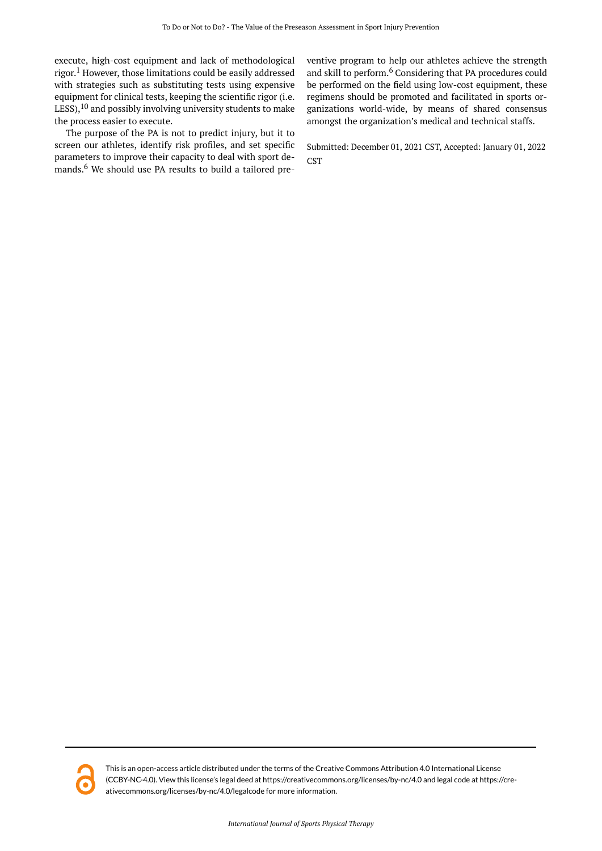execute, high-cost equipment and lack of methodological rigor. <sup>1</sup> However, those limitations could be easily addressed with strategies such as substituting tests using expensive equipment for clinical tests, keeping the scientific rigor (i.e. LESS), $10$  and possibly involving university students to make the process easier to execute.

The purpose of the PA is not to predict injury, but it to screen our athletes, identify risk profiles, and set specific parameters to improve their capacity to deal with sport demands.<sup>6</sup> We should use PA results to build a tailored preventive program to help our athletes achieve the strength and skill to perform.<sup>6</sup> Considering that PA procedures could be performed on the field using low-cost equipment, these regimens should be promoted and facilitated in sports organizations world-wide, by means of shared consensus amongst the organization's medical and technical staffs.

Submitted: December 01, 2021 CST, Accepted: January 01, 2022 **CST** 



This is an open-access article distributed under the terms of the Creative Commons Attribution 4.0 International License (CCBY-NC-4.0). View this license's legal deed at https://creativecommons.org/licenses/by-nc/4.0 and legal code at https://creativecommons.org/licenses/by-nc/4.0/legalcode for more information.